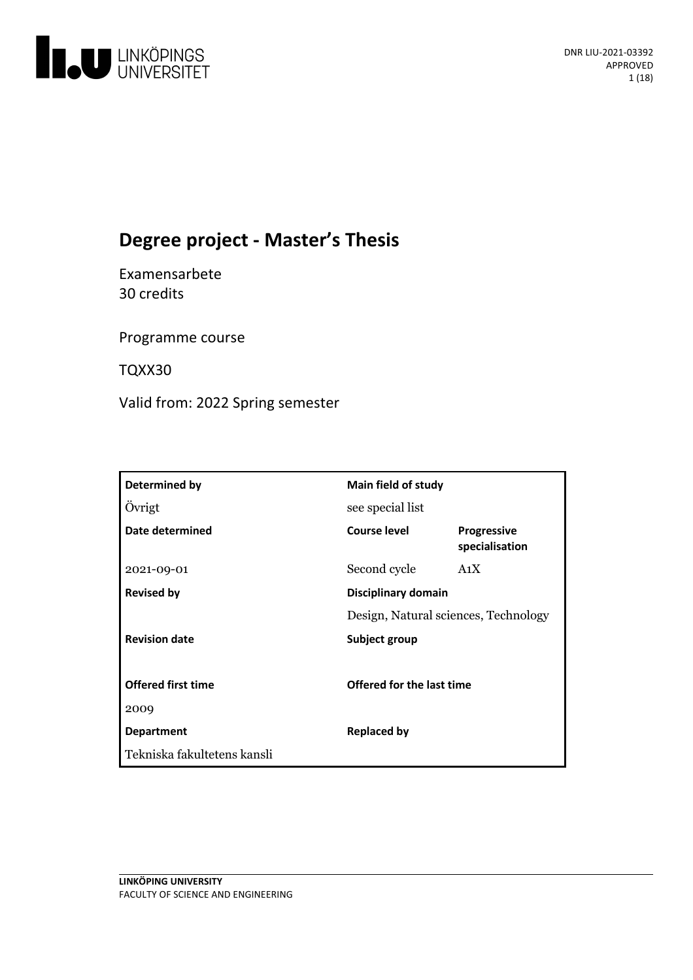

# **Degree project - Master's Thesis**

Examensarbete 30 credits

Programme course

TQXX30

Valid from: 2022 Spring semester

| Determined by               | <b>Main field of study</b>           |                                      |
|-----------------------------|--------------------------------------|--------------------------------------|
| Övrigt                      | see special list                     |                                      |
| Date determined             | <b>Course level</b>                  | <b>Progressive</b><br>specialisation |
| 2021-09-01                  | Second cycle                         | A <sub>1</sub> X                     |
| <b>Revised by</b>           | Disciplinary domain                  |                                      |
|                             | Design, Natural sciences, Technology |                                      |
| <b>Revision date</b>        | Subject group                        |                                      |
|                             |                                      |                                      |
| <b>Offered first time</b>   | Offered for the last time            |                                      |
| 2009                        |                                      |                                      |
| <b>Department</b>           | <b>Replaced by</b>                   |                                      |
| Tekniska fakultetens kansli |                                      |                                      |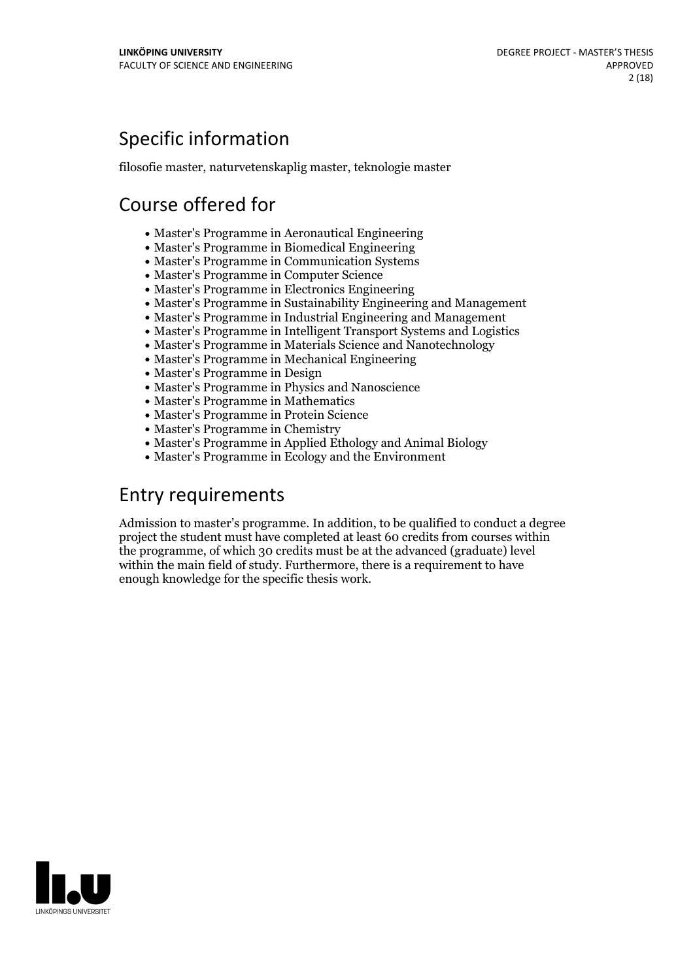# Specific information

filosofie master, naturvetenskaplig master, teknologie master

# Course offered for

- Master's Programme in Aeronautical Engineering
- Master's Programme in Biomedical Engineering
- Master's Programme in Communication Systems
- Master's Programme in Computer Science
- Master's Programme in Electronics Engineering
- Master's Programme in Sustainability Engineering and Management
- Master's Programme in Industrial Engineering and Management
- Master's Programme in Intelligent Transport Systems and Logistics
- Master's Programme in Materials Science and Nanotechnology
- Master's Programme in Mechanical Engineering
- Master's Programme in Design
- Master's Programme in Physics and Nanoscience
- Master's Programme in Mathematics
- Master's Programme in Protein Science
- Master's Programme in Chemistry
- Master's Programme in Applied Ethology and Animal Biology
- Master's Programme in Ecology and the Environment

## Entry requirements

Admission to master's programme. In addition, to be qualified to conduct a degree project the student must have completed at least 60 credits from courses within the programme, of which 30 credits must be at the advanced (graduate) level within the main field of study. Furthermore, there is a requirement to have enough knowledge for the specific thesis work.

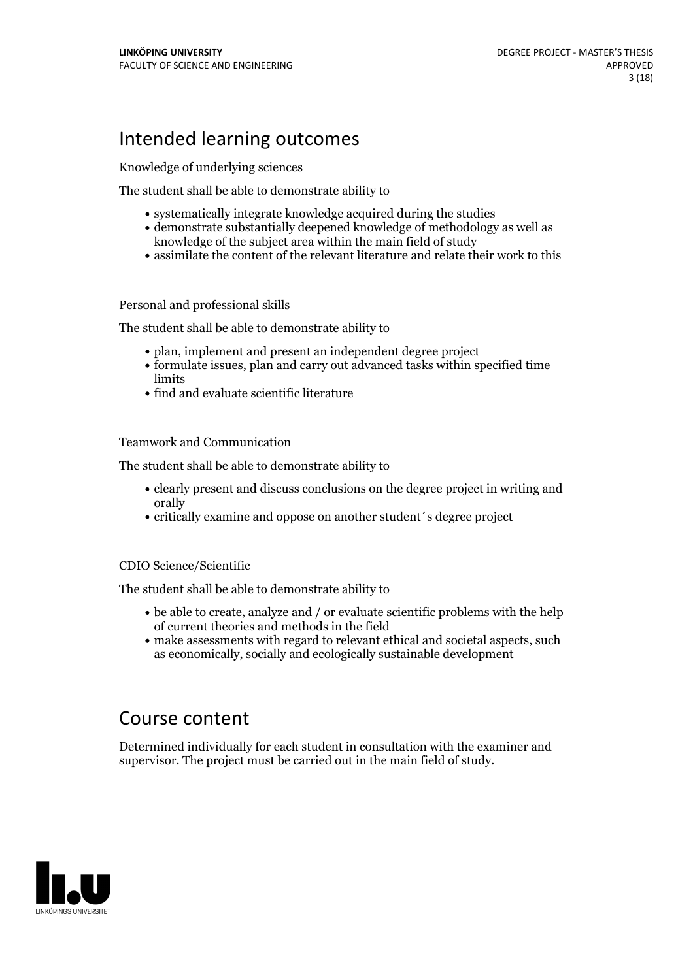## Intended learning outcomes

Knowledge of underlying sciences

The student shall be able to demonstrate ability to

- systematically integrate knowledge acquired during the studies
- demonstrate substantially deepened knowledge of methodology as well as knowledge of the subject area within the main field of study
- assimilate the content of the relevant literature and relate their work to this

#### Personal and professional skills

The student shall be able to demonstrate ability to

- plan, implement and present an independent degree project
- formulate issues, plan and carry out advanced tasks within specified time limits
- find and evaluate scientific literature

Teamwork and Communication

The student shall be able to demonstrate ability to

- clearly present and discuss conclusions on the degree project in writing and orally
- critically examine and oppose on another student´s degree project

#### CDIO Science/Scientific

The student shall be able to demonstrate ability to

- be able to create, analyze and / or evaluate scientific problems with the help of current theories and methods in the field
- make assessments with regard to relevant ethical and societal aspects, such as economically, socially and ecologically sustainable development

### Course content

Determined individually for each student in consultation with the examiner and supervisor. The project must be carried out in the main field of study.

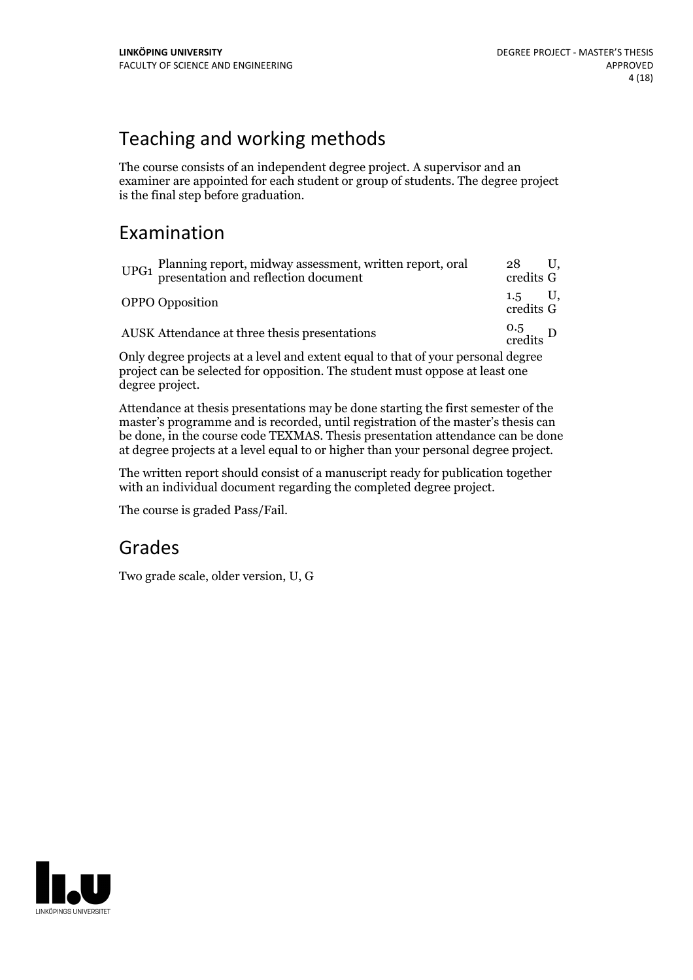# Teaching and working methods

The course consists of an independent degree project. A supervisor and an examiner are appointed for each student or group of students. The degree project is the final step before graduation.

## Examination

| Planning report, midway assessment, written report, oral<br>presentation and reflection document<br>UPG1 | 28<br>credits G                |
|----------------------------------------------------------------------------------------------------------|--------------------------------|
| <b>OPPO</b> Opposition                                                                                   | credits G                      |
| AUSK Attendance at three thesis presentations                                                            | $\frac{0.5}{\text{credits}}$ D |
| Only degree projects at a level and outent equal to that of your personal degree                         |                                |

Only degree projects at a level and extent equal to that of your personal degree project can be selected for opposition. The student must oppose at least one degree project.

Attendance atthesis presentations may be done starting the first semester of the master's programme and is recorded, until registration of the master's thesis can be done, in the course code TEXMAS. Thesis presentation attendance can be done at degree projects at a level equal to or higher than your personal degree project.

The written report should consist of a manuscript ready for publication together with an individual document regarding the completed degree project.

The course is graded Pass/Fail.

### Grades

Two grade scale, older version, U, G

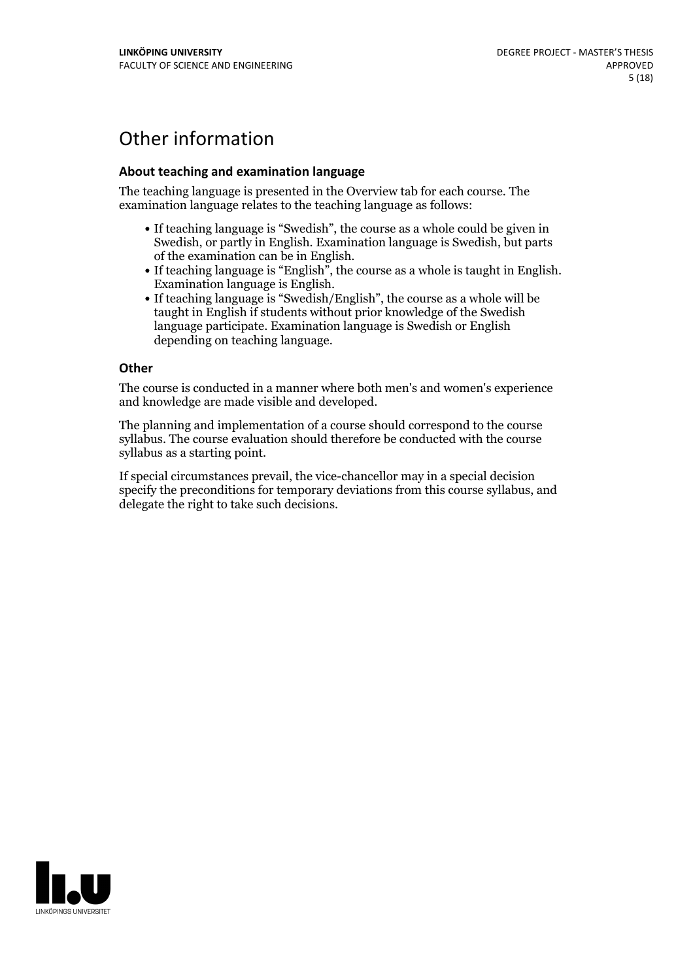# Other information

#### **About teaching and examination language**

The teaching language is presented in the Overview tab for each course. The examination language relates to the teaching language as follows:

- If teaching language is "Swedish", the course as a whole could be given in Swedish, or partly in English. Examination language is Swedish, but parts
- of the examination can be in English. If teaching language is "English", the course as <sup>a</sup> whole is taught in English. Examination language is English. If teaching language is "Swedish/English", the course as <sup>a</sup> whole will be
- taught in English if students without prior knowledge of the Swedish language participate. Examination language is Swedish or English depending on teaching language.

#### **Other**

The course is conducted in a manner where both men's and women's experience and knowledge are made visible and developed.

The planning and implementation of a course should correspond to the course syllabus. The course evaluation should therefore be conducted with the course syllabus as a starting point.

If special circumstances prevail, the vice-chancellor may in a special decision specify the preconditions for temporary deviations from this course syllabus, and delegate the right to take such decisions.

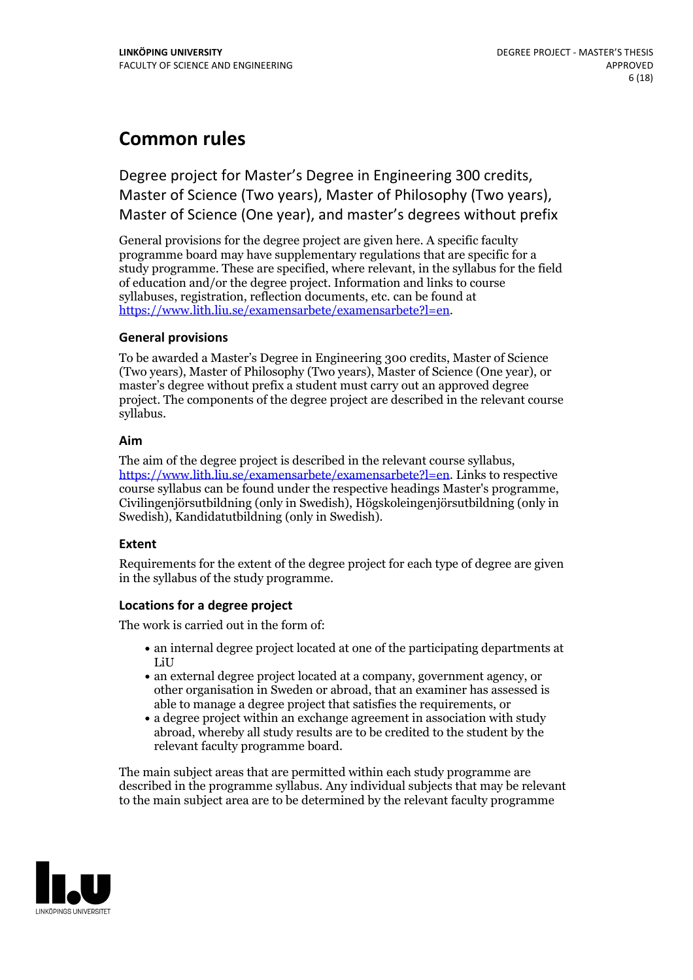## **Common rules**

Degree project for Master's Degree in Engineering 300 credits, Master of Science (Two years), Master of Philosophy (Two years), Master of Science (One year), and master's degrees without prefix

General provisions for the degree project are given here. A specific faculty programme board may have supplementary regulations that are specific for a study programme. These are specified, where relevant, in the syllabus for the field of education and/or the degree project. Information and links to course syllabuses, registration, reflection documents, etc. can be found at <https://www.lith.liu.se/examensarbete/examensarbete?l=en>.

#### **General provisions**

To be awarded a Master's Degree in Engineering 300 credits, Master of Science (Two years), Master of Philosophy (Two years), Master of Science (One year), or master's degree without prefix a student must carry out an approved degree project. The components of the degree project are described in the relevant course syllabus.

#### **Aim**

The aim of the degree project is described in the relevant course syllabus, <https://www.lith.liu.se/examensarbete/examensarbete?l=en>. Links to respective course syllabus can be found under the respective headings Master's programme, Civilingenjörsutbildning (only in Swedish), Högskoleingenjörsutbildning (only in Swedish), Kandidatutbildning (only in Swedish).

#### **Extent**

Requirements for the extent of the degree project for each type of degree are given in the syllabus of the study programme.

#### **Locations for a degree project**

The work is carried out in the form of:

- an internal degree project located at one of the participating departments at LiU
- an external degree project located at a company, government agency, or other organisation in Sweden or abroad, that an examiner has assessed is able to manage a degree project that satisfies the requirements, or
- a degree project within an exchange agreement in association with study abroad, whereby all study results are to be credited to the student by the relevant faculty programme board.

The main subject areas that are permitted within each study programme are described in the programme syllabus. Any individual subjects that may be relevant to the main subject area are to be determined by the relevant faculty programme

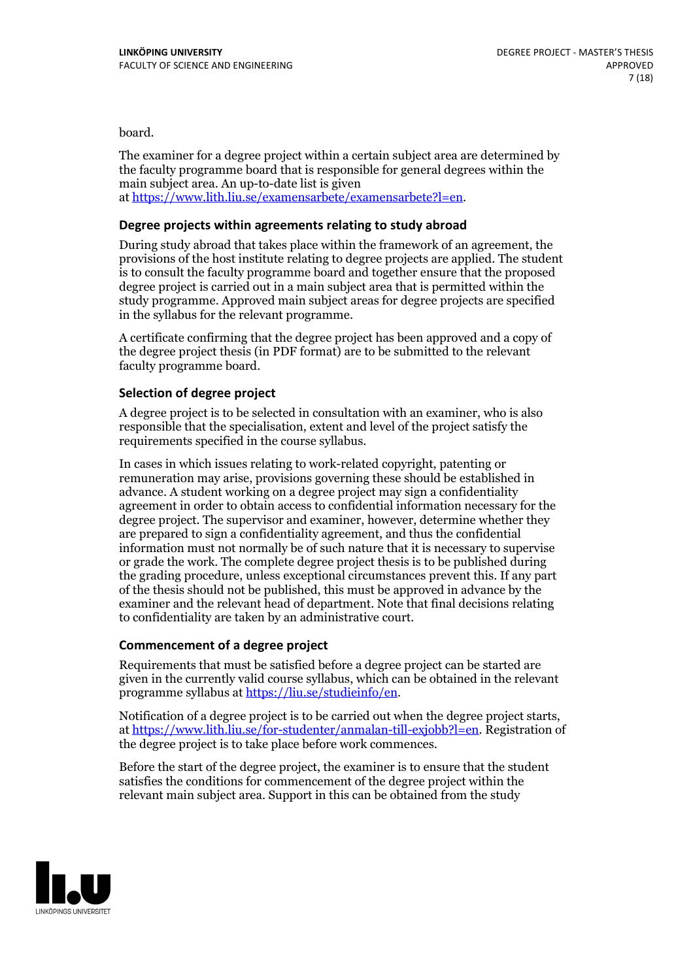board.

The examiner for a degree project within a certain subject area are determined by the faculty programme board that is responsible for general degrees within the main subject area. An up-to-date list is given at [https://www.lith.liu.se/examensarbete/examensarbete?l=en.](https://www.lith.liu.se/examensarbete/examensarbete?l=en)

#### **Degree projects within agreements relatingto study abroad**

During study abroad that takes place within the framework of an agreement, the provisions of the host institute relating to degree projects are applied. The student is to consult the faculty programme board and together ensure that the proposed degree project is carried out in a main subject area that is permitted within the study programme. Approved main subject areas for degree projects are specified in the syllabus for the relevant programme.

A certificate confirming that the degree project has been approved and a copy of the degree project thesis (in PDF format) are to be submitted to the relevant faculty programme board.

#### **Selection of degree project**

A degree project is to be selected in consultation with an examiner, who is also responsible that the specialisation, extent and level of the project satisfy the requirements specified in the course syllabus.

In cases in which issues relating to work-related copyright, patenting or remuneration may arise, provisions governing these should be established in advance. A student working on a degree project may sign a confidentiality agreement in order to obtain access to confidential information necessary for the degree project. The supervisor and examiner, however, determine whether they are prepared to sign a confidentiality agreement, and thus the confidential information must not normally be of such nature that it is necessary to supervise or grade the work. The complete degree project thesis is to be published during the grading procedure, unless exceptional circumstances prevent this. If any part of the thesis should not be published, this must be approved in advance by the examiner and the relevant head of department. Note that final decisions relating to confidentiality are taken by an administrative court.

#### **Commencement of a degree project**

Requirements that must be satisfied before a degree project can be started are given in the currently valid course syllabus, which can be obtained in the relevant programme syllabus at <https://liu.se/studieinfo/en>.

Notification of a degree project is to be carried out when the degree project starts, at <https://www.lith.liu.se/for-studenter/anmalan-till-exjobb?l=en>. Registration of the degree project is to take place before work commences.

Before the start of the degree project, the examiner is to ensure that the student satisfies the conditions for commencement of the degree project within the relevant main subject area. Support in this can be obtained from the study

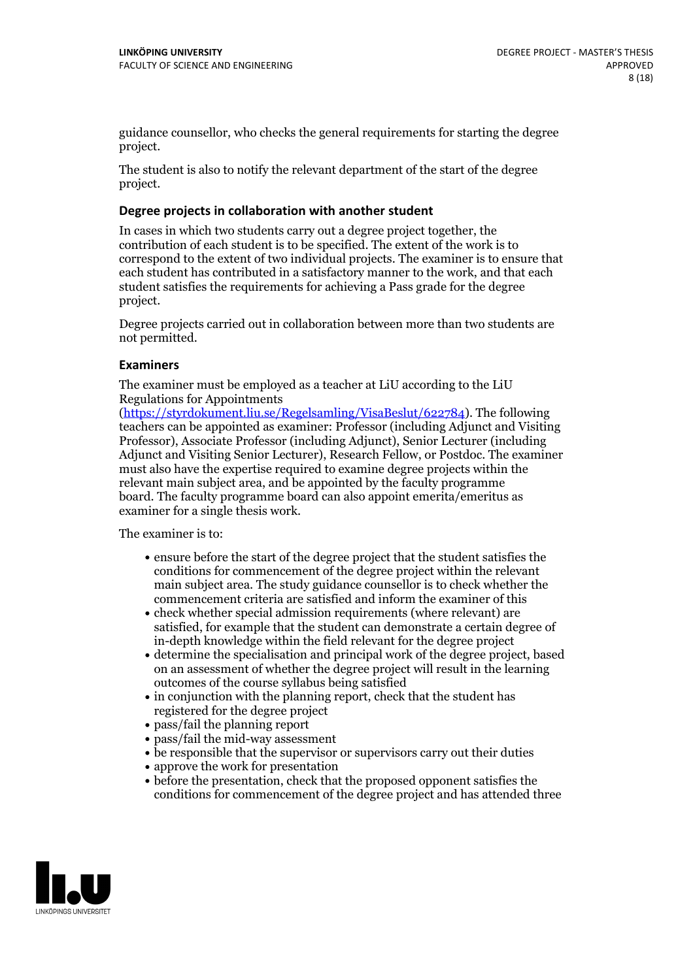guidance counsellor, who checks the general requirements for starting the degree project.

The student is also to notify the relevant department of the start of the degree project.

#### **Degree projects in collaboration with another student**

In cases in which two students carry out a degree project together, the contribution of each student is to be specified. The extent of the work is to correspond to the extent of two individual projects. The examiner is to ensure that each student has contributed in a satisfactory manner to the work, and that each student satisfies the requirements for achieving a Pass grade for the degree project.

Degree projects carried out in collaboration between more than two students are not permitted.

#### **Examiners**

The examiner must be employed as a teacher at LiU according to the LiU Regulations for Appointments

[\(https://styrdokument.liu.se/Regelsamling/VisaBeslut/622784](https://styrdokument.liu.se/Regelsamling/VisaBeslut/622784)). The following teachers can be appointed as examiner: Professor (including Adjunct and Visiting Professor), Associate Professor (including Adjunct), Senior Lecturer (including Adjunct and Visiting Senior Lecturer), Research Fellow, or Postdoc. The examiner must also have the expertise required to examine degree projects within the relevant main subject area, and be appointed by the faculty programme board. The faculty programme board can also appoint emerita/emeritus as examiner for a single thesis work.

The examiner is to:

- ensure before the start of the degree project that the student satisfies the conditions for commencement of the degree project within the relevant main subject area. The study guidance counsellor is to check whether the commencement criteria are satisfied and inform the examiner of this
- check whether special admission requirements (where relevant) are satisfied, for example that the student can demonstrate a certain degree of in-depth knowledge within the field relevant for the degree project
- determine the specialisation and principal work of the degree project, based on an assessment of whether the degree project will result in the learning outcomes of the course syllabus being satisfied
- in conjunction with the planning report, check that the student has registered for the degree project
- pass/fail the planning report
- pass/fail the mid-way assessment
- be responsible that the supervisor or supervisors carry out their duties
- approve the work for presentation
- before the presentation, check that the proposed opponent satisfies the conditions for commencement of the degree project and has attended three

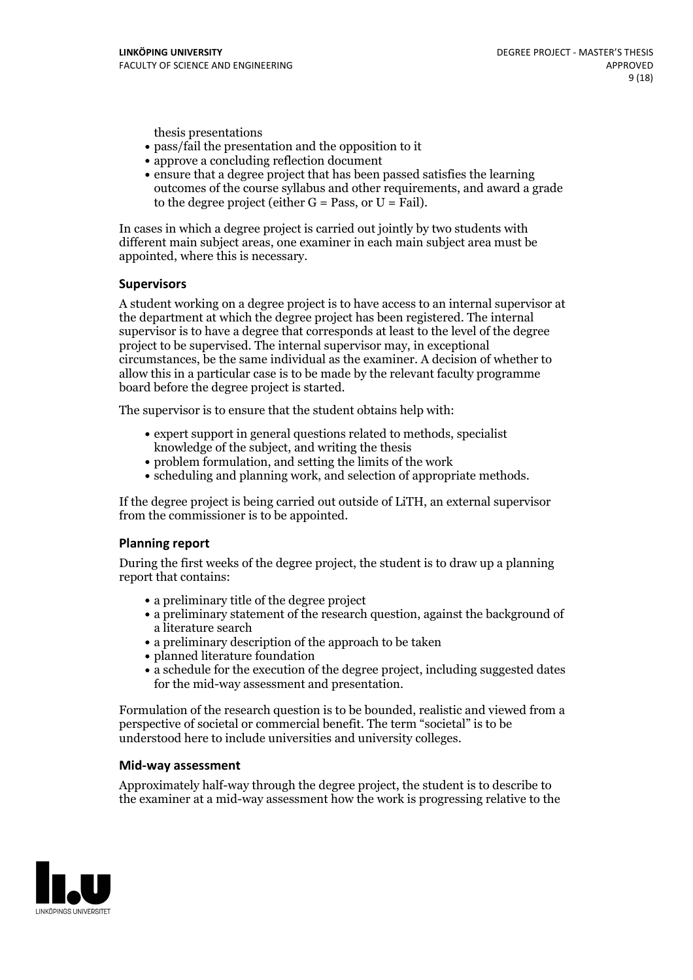thesis presentations

- pass/fail the presentation and the opposition to it
- approve a concluding reflection document
- ensure that a degree project that has been passed satisfies the learning outcomes of the course syllabus and other requirements, and award a grade to the degree project (either  $G = Pass$ , or  $U = Fail$ ).

In cases in which a degree project is carried out jointly by two students with different main subject areas, one examiner in each main subject area must be appointed, where this is necessary.

#### **Supervisors**

A student working on a degree project is to have access to an internal supervisor at the department at which the degree project has been registered. The internal supervisor is to have a degree that corresponds at least to the level of the degree project to be supervised. The internal supervisor may, in exceptional circumstances, be the same individual as the examiner. A decision of whether to allow this in a particular case is to be made by the relevant faculty programme board before the degree project is started.

The supervisor is to ensure that the student obtains help with:

- expert support in general questions related to methods, specialist knowledge of the subject, and writing the thesis
- problem formulation, and setting the limits of the work
- scheduling and planning work, and selection of appropriate methods.

If the degree project is being carried out outside of LiTH, an external supervisor from the commissioner is to be appointed.

#### **Planning report**

During the first weeks of the degree project, the student is to draw up a planning report that contains:

- $\bullet$  a preliminary title of the degree project
- a preliminary statement of the research question, against the background of a literature search
- a preliminary description of the approach to be taken
- planned literature foundation
- a schedule for the execution of the degree project, including suggested dates for the mid-way assessment and presentation.

Formulation of the research question is to be bounded, realistic and viewed from a perspective ofsocietal or commercial benefit. The term "societal" is to be understood here to include universities and university colleges.

#### **Mid-way assessment**

Approximately half-way through the degree project, the student is to describe to the examiner at a mid-way assessment how the work is progressing relative to the

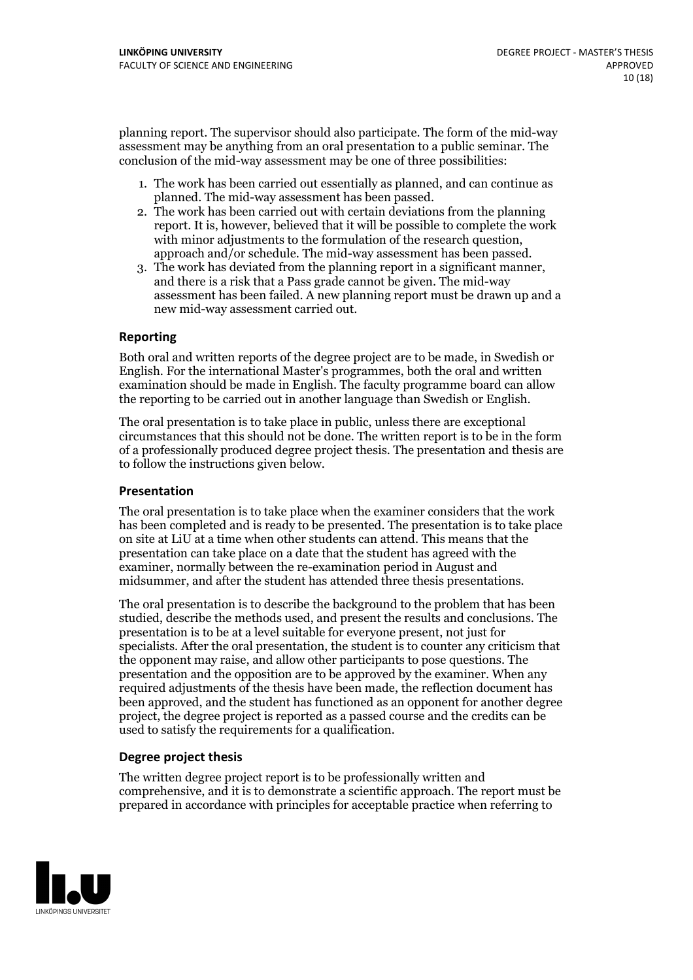planning report. The supervisor should also participate. The form of the mid-way assessment may be anything from an oral presentation to a public seminar. The conclusion of the mid-way assessment may be one of three possibilities:

- 1. The work has been carried out essentially as planned, and can continue as planned. The mid-way assessment has been passed.
- 2. The work has been carried out with certain deviations from the planning report. It is, however, believed that it will be possible to complete the work with minor adjustments to the formulation of the research question,<br>approach and/or schedule. The mid-way assessment has been passed.<br>3. The work has deviated from the planning report in a significant manner,<br>and there is
- assessment has been failed. A new planning report must be drawn up and a new mid-way assessment carried out.

#### **Reporting**

Both oral and written reports of the degree project are to be made, in Swedish or English. For the international Master's programmes, both the oral and written examination should be made in English. The faculty programme board can allow the reporting to be carried out in another language than Swedish or English.

The oral presentation is to take place in public, unless there are exceptional circumstances that this should not be done. The written report is to be in the form of a professionally produced degree project thesis. The presentation and thesis are to follow the instructions given below.

#### **Presentation**

The oral presentation is to take place when the examiner considers that the work has been completed and is ready to be presented. The presentation is to take place on site at LiU at atime when other students can attend. This means that the presentation can take place on a date that the student has agreed with the examiner, normally between the re-examination period in August and midsummer, and after the student has attended three thesis presentations.

The oral presentation is to describe the background to the problem that has been studied, describe the methods used, and present the results and conclusions. The presentation is to be at a level suitable for everyone present, not just for specialists. After the oral presentation, the student is to counter any criticism that the opponent may raise, and allow other participants to pose questions. The presentation and the opposition are to be approved by the examiner. When any required adjustments of the thesis have been made, the reflection document has been approved, and the student has functioned as an opponent for another degree project, the degree project is reported as a passed course and the credits can be used to satisfy the requirements for a qualification.

#### **Degree project thesis**

The written degree project report is to be professionally written and comprehensive, and it is to demonstrate a scientific approach. The report must be prepared in accordance with principles for acceptable practice when referring to

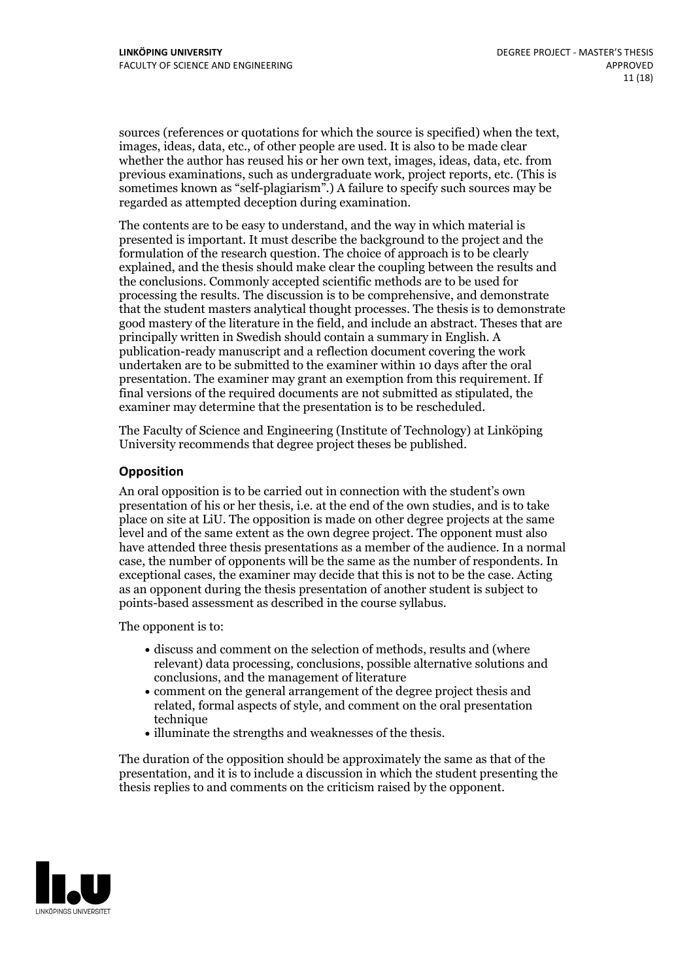sources (references or quotations for which the source is specified) when the text, images, ideas, data, etc., of other people are used. It is also to be made clear whether the author has reused his or her own text, images, ideas, data, etc. from previous examinations, such asundergraduate work, project reports, etc. (This is sometimes known as "self-plagiarism".) A failure to specify such sources may be regarded as attempted deception during examination.

The contents are to be easy to understand, and the way in which material is presented is important. It must describe the background to the project and the formulation of the research question. The choice of approach is to be clearly explained, and the thesis should make clear the coupling between the results and the conclusions. Commonly accepted scientific methods are to be used for processing the results. The discussion is to be comprehensive, and demonstrate that the student masters analytical thought processes. The thesis is to demonstrate good mastery of the literature in the field, and include an abstract. Theses that are principally written in Swedish should contain a summary in English. A publication-ready manuscript and a reflection document covering the work undertaken are to be submitted to the examiner within 10 days after the oral presentation. The examiner may grant an exemption from this requirement. If final versions of the required documents are not submitted as stipulated, the examiner may determine that the presentation is to be rescheduled.

The Faculty of Science and Engineering (Institute of Technology) at Linköping University recommends that degree project theses be published.

#### **Opposition**

An oral opposition is to be carried out in connection with the student's own presentation of his or her thesis, i.e. at the end of the own studies, and is to take place on site at LiU. The opposition is made on other degree projects at the same level and of the same extent as the own degree project. The opponent must also have attended three thesis presentations as a member of the audience. In a normal case, the number of opponents will be the same as the number of respondents. In exceptional cases, the examiner may decide that this is not to be the case. Acting as an opponent during the thesis presentation of another student is subject to points-based assessment as described in the course syllabus.

The opponent is to:

- discuss and comment on the selection of methods, results and (where relevant) data processing, conclusions, possible alternative solutions and conclusions, and the management of literature
- comment on the general arrangement of the degree project thesis and related, formal aspects of style, and comment on the oral presentation technique
- illuminate the strengths and weaknesses of the thesis.

The duration of the opposition should be approximately the same as that of the presentation, and it is to include a discussion in which the student presenting the thesis replies to and comments on the criticism raised by the opponent.

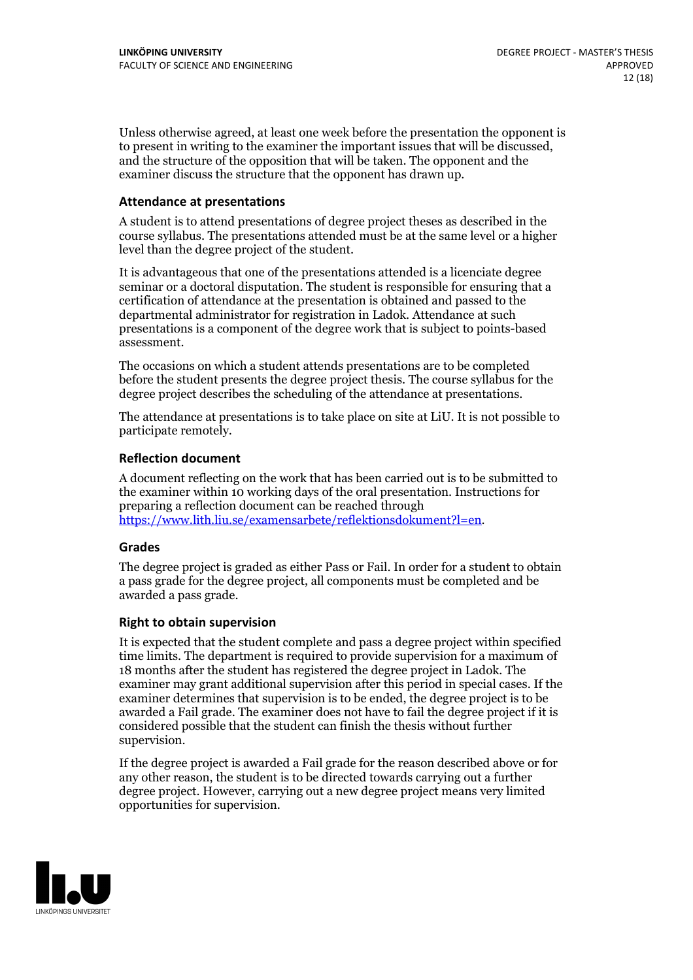Unless otherwise agreed, at least one week before the presentation the opponent is to present in writing to the examiner the important issues that will be discussed, and the structure ofthe opposition that will be taken. The opponent and the examiner discuss the structure that the opponent has drawn up.

#### **Attendance at presentations**

A student is to attend presentations of degree project theses as described in the course syllabus. The presentations attended must be at the same level or a higher level than the degree project of the student.

It is advantageous that one of the presentations attended is a licenciate degree seminar or a doctoral disputation. The student is responsible for ensuring that a certification of attendance at the presentation is obtained and passed to the departmental administrator for registration in Ladok. Attendance at such presentations is a component of the degree work that is subject to points-based assessment.

The occasions on which a student attends presentations are to be completed before the student presents the degree project thesis. The course syllabus for the degree project describes the scheduling of the attendance at presentations.

The attendance at presentations is to take place on site at LiU. It is not possible to participate remotely.

#### **Reflection document**

A document reflecting on the work that has been carried outis to be submitted to the examiner within 10 working days of the oral presentation. Instructions for preparing a reflection document can be reached through [https://www.lith.liu.se/examensarbete/reflektionsdokument?l=en.](https://www.lith.liu.se/examensarbete/reflektionsdokument?l=en)

#### **Grades**

The degree project is graded as either Pass or Fail. In order for a student to obtain a pass grade for the degree project, all components must be completed and be awarded a pass grade.

#### **Right to obtain supervision**

It is expected that the student complete and pass a degree project within specified time limits. The department is required to provide supervision for a maximum of 18 months after the student has registered the degree project in Ladok. The examiner may grant additional supervision after this period in special cases. If the examiner determines that supervision is to be ended, the degree project is to be awarded a Fail grade. The examiner does not have to fail the degree project if it is considered possible that the student can finish the thesis without further supervision.

If the degree project is awarded a Fail grade for the reason described above or for any other reason, the student is to be directed towards carrying out a further degree project. However, carrying out a new degree project means very limited opportunities for supervision.

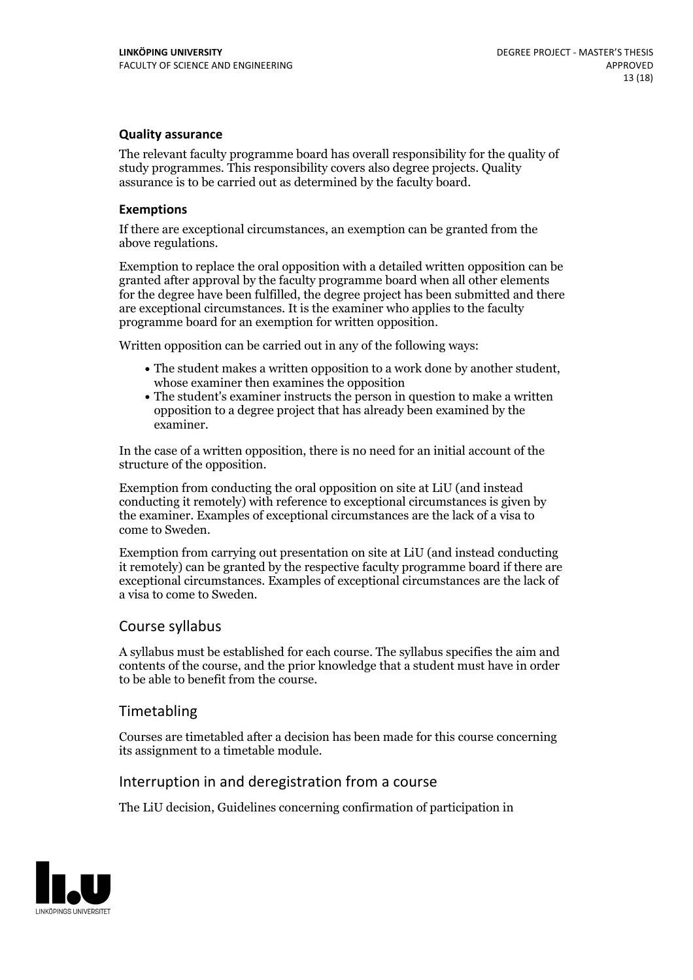#### **Quality assurance**

The relevant faculty programme board has overall responsibility for the quality of study programmes. This responsibility covers also degree projects. Quality assurance is to be carried out as determined by the faculty board.

#### **Exemptions**

If there are exceptional circumstances, an exemption can be granted from the above regulations.

Exemption to replace the oral opposition with a detailed written opposition can be granted after approval by the faculty programme board when all other elements for the degree have been fulfilled, the degree project has been submitted and there are exceptional circumstances. It is the examiner who applies to the faculty programme board for an exemption for written opposition.

Written opposition can be carried out in any of the following ways:

- The student makes <sup>a</sup> written opposition to <sup>a</sup> work done by another student, whose examiner then examines the opposition
- The student's examiner instructs the person in question to make a written opposition to a degree project that has already been examined by the examiner.

In the case of a written opposition, there is no need for an initial account of the structure of the opposition.

Exemption from conducting the oral opposition on site at LiU (and instead conducting it remotely) with reference to exceptional circumstances is given by the examiner. Examples of exceptional circumstances are the lack of a visa to come to Sweden.

Exemption from carrying out presentation on site at LiU (and instead conducting it remotely) can be granted by the respective faculty programme board if there are exceptional circumstances. Examples of exceptional circumstances are the lack of a visa to come to Sweden.

#### Course syllabus

A syllabus must be established for each course. The syllabus specifies the aim and contents of the course, and the prior knowledge that a student must have in order to be able to benefit from the course.

### Timetabling

Courses are timetabled after a decision has been made for this course concerning its assignment to a timetable module.

### Interruption in and deregistration from a course

The LiU decision, Guidelines concerning confirmation of participation in

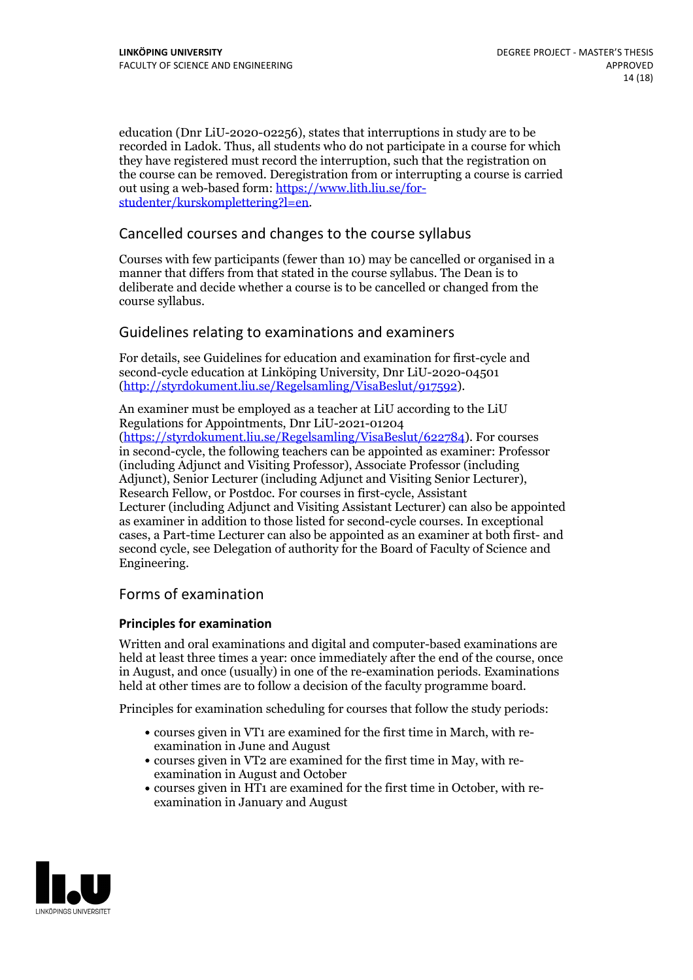education (Dnr LiU-2020-02256), states that interruptions in study are to be recorded in Ladok. Thus, all students who do not participate in a course for which they have registered must record the interruption, such that the registration on the course can be removed. Deregistration from or interrupting a course is carried out using <sup>a</sup> web-based form: https://www.lith.liu.se/for- [studenter/kurskomplettering?l=en.](https://www.lith.liu.se/for-studenter/kurskomplettering?l=en)

### Cancelled courses and changes to the course syllabus

Courses with few participants (fewer than 10) may be cancelled or organised in a manner that differs from that stated in the course syllabus. The Dean is to deliberate and decide whether a course is to be cancelled or changed from the course syllabus.

### Guidelines relating to examinations and examiners

For details, see Guidelines for education and examination for first-cycle and second-cycle education at Linköping University, Dnr LiU-2020-04501 [\(http://styrdokument.liu.se/Regelsamling/VisaBeslut/917592\)](http://styrdokument.liu.se/Regelsamling/VisaBeslut/917592).

An examiner must be employed as a teacher at LiU according to the LiU Regulations for Appointments, Dnr LiU-2021-01204 [\(https://styrdokument.liu.se/Regelsamling/VisaBeslut/622784](https://styrdokument.liu.se/Regelsamling/VisaBeslut/622784)). For courses in second-cycle, the following teachers can be appointed as examiner: Professor (including Adjunct and Visiting Professor), Associate Professor (including Adjunct), Senior Lecturer (including Adjunct and Visiting Senior Lecturer), Research Fellow, or Postdoc. For courses in first-cycle, Assistant Lecturer (including Adjunct and Visiting Assistant Lecturer) can also be appointed as examiner in addition to those listed for second-cycle courses. In exceptional cases, a Part-time Lecturer can also be appointed as an examiner at both first- and second cycle, see Delegation of authority for the Board of Faculty of Science and Engineering.

#### Forms of examination

#### **Principles for examination**

Written and oral examinations and digital and computer-based examinations are held at least three times a year: once immediately after the end of the course, once in August, and once (usually) in one of the re-examination periods. Examinations held at other times are to follow a decision of the faculty programme board.

Principles for examination scheduling for courses that follow the study periods:

- courses given in VT1 are examined for the first time in March, with re-examination in June and August
- courses given in VT2 are examined for the first time in May, with re-examination in August and October
- courses given in HT1 are examined for the first time in October, with re-examination in January and August

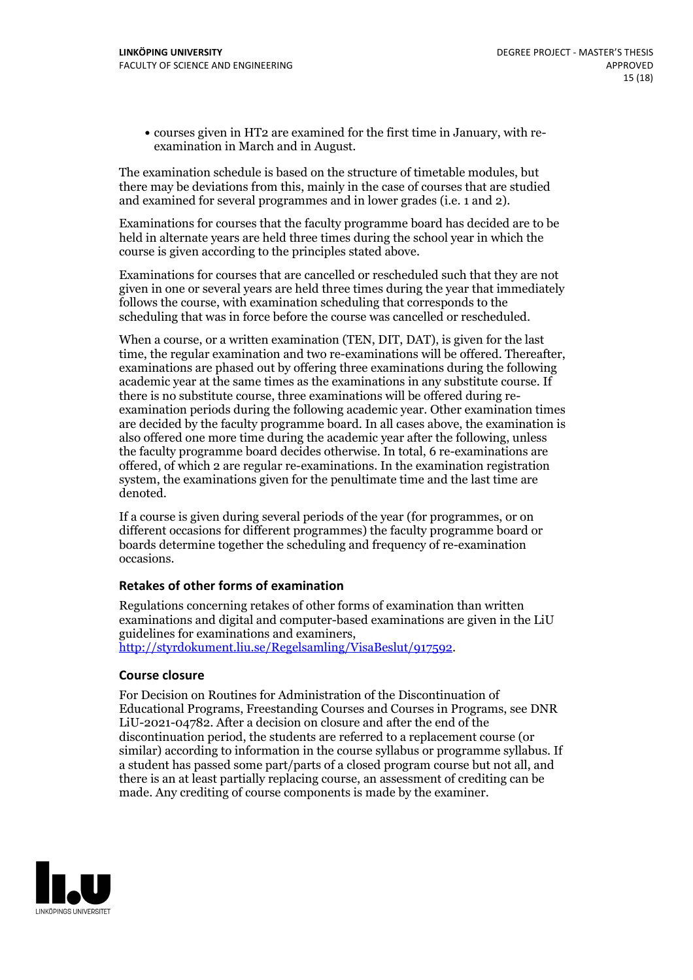courses given in HT2 are examined for the first time in January, with re-examination in March and in August.

The examination schedule is based on the structure of timetable modules, but there may be deviations from this, mainly in the case of courses that are studied and examined for several programmes and in lower grades (i.e. 1 and 2).

Examinations for courses that the faculty programme board has decided are to be held in alternate years are held three times during the school year in which the course is given according to the principles stated above.

Examinations for courses that are cancelled orrescheduled such that they are not given in one or several years are held three times during the year that immediately follows the course, with examination scheduling that corresponds to the scheduling that was in force before the course was cancelled or rescheduled.

When a course, or a written examination (TEN, DIT, DAT), is given for the last time, the regular examination and two re-examinations will be offered. Thereafter, examinations are phased out by offering three examinations during the following academic year at the same times as the examinations in any substitute course. If there is no substitute course, three examinations will be offered during re- examination periods during the following academic year. Other examination times are decided by the faculty programme board. In all cases above, the examination is also offered one more time during the academic year after the following, unless the faculty programme board decides otherwise. In total, 6 re-examinations are offered, of which 2 are regular re-examinations. In the examination registration system, the examinations given for the penultimate time and the last time are denoted.

If a course is given during several periods of the year (for programmes, or on different occasions for different programmes) the faculty programme board or boards determine together the scheduling and frequency of re-examination occasions.

#### **Retakes of other forms of examination**

Regulations concerning retakes of other forms of examination than written examinations and digital and computer-based examinations are given in the LiU guidelines for examinations and examiners, [http://styrdokument.liu.se/Regelsamling/VisaBeslut/917592.](http://styrdokument.liu.se/Regelsamling/VisaBeslut/917592)

#### **Course closure**

For Decision on Routines for Administration of the Discontinuation of Educational Programs, Freestanding Courses and Courses in Programs, see DNR LiU-2021-04782. After a decision on closure and after the end of the discontinuation period, the students are referred to a replacement course (or similar) according to information in the course syllabus or programme syllabus. If a student has passed some part/parts of a closed program course but not all, and there is an at least partially replacing course, an assessment of crediting can be made. Any crediting of course components is made by the examiner.

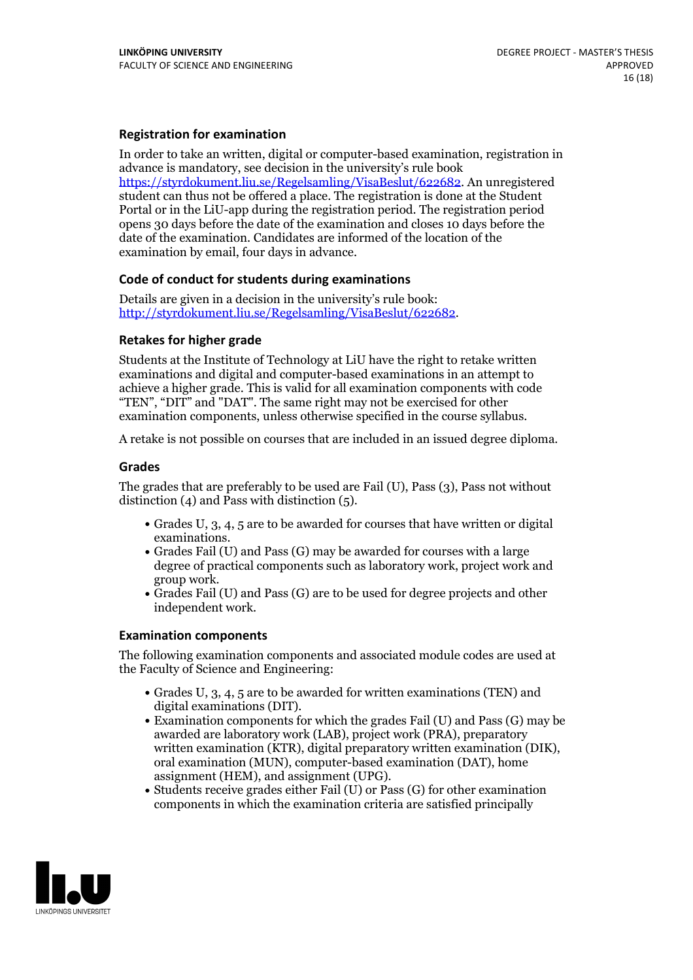#### **Registration for examination**

In order to take an written, digital or computer-based examination, registration in advance is mandatory, see decision in the university's rule book [https://styrdokument.liu.se/Regelsamling/VisaBeslut/622682.](https://styrdokument.liu.se/Regelsamling/VisaBeslut/622682) An unregistered student can thus not be offered a place. The registration is done at the Student Portal or in the LiU-app during the registration period. The registration period opens 30 days before the date of the examination and closes 10 days before the date of the examination. Candidates are informed of the location of the examination by email, four days in advance.

#### **Code of conduct for students during examinations**

Details are given in a decision in the university's rule book: <http://styrdokument.liu.se/Regelsamling/VisaBeslut/622682>.

#### **Retakes for higher grade**

Students at the Institute of Technology at LiU have the right to retake written examinations and digital and computer-based examinations in an attempt to achieve a higher grade. This is valid for all examination components with code "TEN", "DIT" and "DAT". The same right may not be exercised for other examination components, unless otherwise specified in the course syllabus.

A retake is not possible on courses that are included in an issued degree diploma.

#### **Grades**

The grades that are preferably to be used are Fail (U), Pass (3), Pass not without distinction  $(4)$  and Pass with distinction  $(5)$ .

- Grades U, 3, 4, 5 are to be awarded for courses that have written or digital
- examinations.<br>• Grades Fail (U) and Pass (G) may be awarded for courses with a large degree of practical components such as laboratory work, project work and group work.<br>• Grades Fail (U) and Pass (G) are to be used for degree projects and other
- independent work.

#### **Examination components**

The following examination components and associated module codes are used at the Faculty of Science and Engineering:

- Grades U,  $3$ ,  $4$ ,  $5$  are to be awarded for written examinations (TEN) and digital examinations (DIT).
- $\bullet$  Examination components for which the grades Fail (U) and Pass (G) may be awarded are laboratory work (LAB), project work (PRA), preparatory written examination (KTR), digital preparatory written examination (DIK), oral examination (MUN), computer-based examination (DAT), home assignment (HEM), and assignment (UPG).<br>• Students receive grades either Fail (U) or Pass (G) for other examination
- components in which the examination criteria are satisfied principally

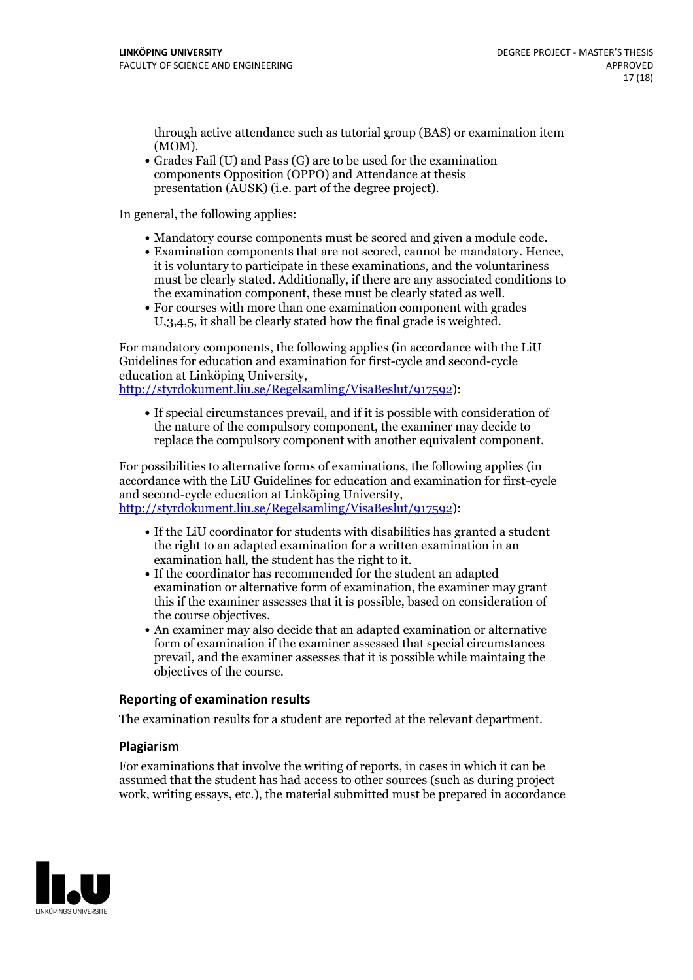through active attendance such as tutorial group (BAS) or examination item (MOM).<br>• Grades Fail (U) and Pass (G) are to be used for the examination

components Opposition (OPPO) and Attendance at thesis presentation (AUSK) (i.e. part of the degree project).

In general, the following applies:

- 
- Mandatory course components must be scored and given <sup>a</sup> module code. Examination components that are not scored, cannot be mandatory. Hence, it is voluntary to participate in these examinations, and the voluntariness must be clearly stated. Additionally, if there are any associated conditions to the examination component, these must be clearly stated as well.<br>• For courses with more than one examination component with grades
- U,3,4,5, it shall be clearly stated how the final grade is weighted.

For mandatory components, the following applies (in accordance with the LiU Guidelines for education and examination for first-cycle and second-cycle education at Linköping University, [http://styrdokument.liu.se/Regelsamling/VisaBeslut/917592\)](http://styrdokument.liu.se/Regelsamling/VisaBeslut/917592):

If special circumstances prevail, and if it is possible with consideration of the nature of the compulsory component, the examiner may decide to replace the compulsory component with another equivalent component.

For possibilities to alternative forms of examinations, the following applies (in accordance with the LiU Guidelines for education and examination for first-cycle [http://styrdokument.liu.se/Regelsamling/VisaBeslut/917592\)](http://styrdokument.liu.se/Regelsamling/VisaBeslut/917592):

- If the LiU coordinator for students with disabilities has granted a student the right to an adapted examination for a written examination in an examination hall, the student has the right to it.<br>If the coordinator has recommended for the student an adapted
- examination or alternative form of examination, the examiner may grant this if the examiner assesses that it is possible, based on consideration of the course objectives. An examiner may also decide that an adapted examination or alternative
- form of examination if the examiner assessed that special circumstances prevail, and the examiner assesses that it is possible while maintaing the objectives of the course.

#### **Reporting of examination results**

The examination results for a student are reported at the relevant department.

#### **Plagiarism**

For examinations that involve the writing of reports, in cases in which it can be assumed that the student has had access to other sources (such as during project work, writing essays, etc.), the material submitted must be prepared in accordance